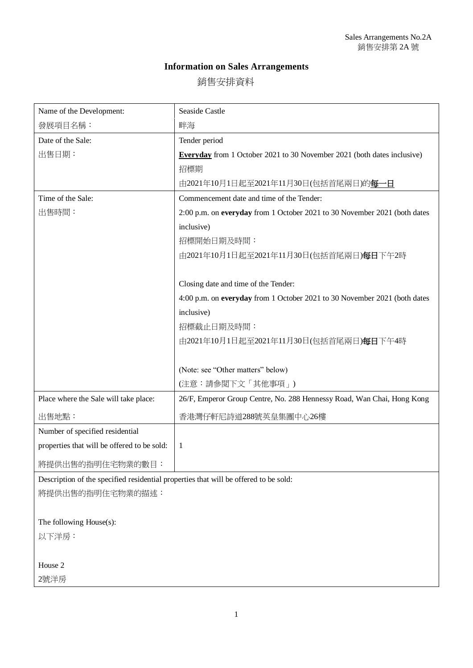## **Information on Sales Arrangements**

銷售安排資料

| Name of the Development:                                                             | <b>Seaside Castle</b>                                                          |
|--------------------------------------------------------------------------------------|--------------------------------------------------------------------------------|
| 發展項目名稱:                                                                              | 畔海                                                                             |
| Date of the Sale:                                                                    | Tender period                                                                  |
| 出售日期:                                                                                | <b>Everyday</b> from 1 October 2021 to 30 November 2021 (both dates inclusive) |
|                                                                                      | 招標期                                                                            |
|                                                                                      | 由2021年10月1日起至2021年11月30日(包括首尾兩日)的每一日                                           |
| Time of the Sale:                                                                    | Commencement date and time of the Tender:                                      |
| 出售時間:                                                                                | 2:00 p.m. on everyday from 1 October 2021 to 30 November 2021 (both dates      |
|                                                                                      | inclusive)                                                                     |
|                                                                                      | 招標開始日期及時間:                                                                     |
|                                                                                      | 由2021年10月1日起至2021年11月30日(包括首尾兩日)每日下午2時                                         |
|                                                                                      |                                                                                |
|                                                                                      | Closing date and time of the Tender:                                           |
|                                                                                      | 4:00 p.m. on everyday from 1 October 2021 to 30 November 2021 (both dates      |
|                                                                                      | inclusive)                                                                     |
|                                                                                      | 招標截止日期及時間:                                                                     |
|                                                                                      | 由2021年10月1日起至2021年11月30日(包括首尾兩日)每日下午4時                                         |
|                                                                                      |                                                                                |
|                                                                                      | (Note: see "Other matters" below)                                              |
|                                                                                      | (注意:請參閲下文「其他事項」)                                                               |
| Place where the Sale will take place:                                                | 26/F, Emperor Group Centre, No. 288 Hennessy Road, Wan Chai, Hong Kong         |
| 出售地點:                                                                                | 香港灣仔軒尼詩道288號英皇集團中心26樓                                                          |
| Number of specified residential                                                      |                                                                                |
| properties that will be offered to be sold:                                          | $\mathbf{1}$                                                                   |
| 將提供出售的指明住宅物業的數目:                                                                     |                                                                                |
| Description of the specified residential properties that will be offered to be sold: |                                                                                |
| 將提供出售的指明住宅物業的描述:                                                                     |                                                                                |

The following House(s):

以下洋房:

House 2

2號洋房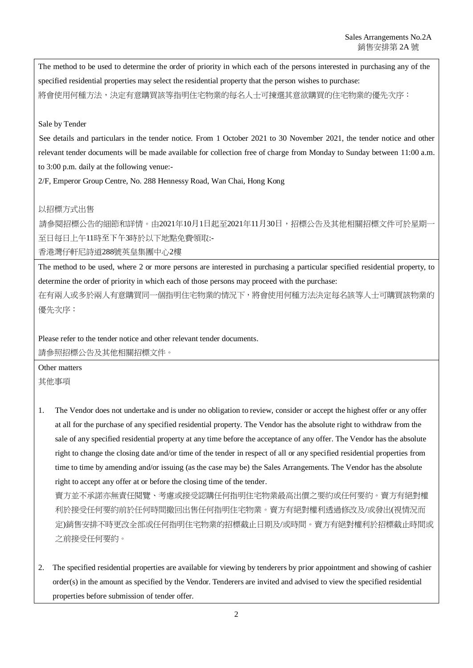The method to be used to determine the order of priority in which each of the persons interested in purchasing any of the specified residential properties may select the residential property that the person wishes to purchase: 將會使用何種方法,決定有意購買該等指明住宅物業的每名人士可揀選其意欲購買的住宅物業的優先次序:

## Sale by Tender

See details and particulars in the tender notice. From 1 October 2021 to 30 November 2021, the tender notice and other relevant tender documents will be made available for collection free of charge from Monday to Sunday between 11:00 a.m. to 3:00 p.m. daily at the following venue:-

2/F, Emperor Group Centre, No. 288 Hennessy Road, Wan Chai, Hong Kong

## 以招標方式出售

請參閱招標公告的細節和詳情。由2021年10月1日起至2021年11月30日,招標公告及其他相關招標文件可於星期-至日每日上午11時至下午3時於以下地點免費領取:-

香港灣仔軒尼詩道288號英皇集團中心2樓

The method to be used, where 2 or more persons are interested in purchasing a particular specified residential property, to determine the order of priority in which each of those persons may proceed with the purchase:

在有兩人或多於兩人有意購買同一個指明住宅物業的情況下,將會使用何種方法決定每名該等人士可購買該物業的 優先次序:

Please refer to the tender notice and other relevant tender documents. 請參照招標公告及其他相關招標文件。

Other matters

其他事項

1. The Vendor does not undertake and is under no obligation to review, consider or accept the highest offer or any offer at all for the purchase of any specified residential property. The Vendor has the absolute right to withdraw from the sale of any specified residential property at any time before the acceptance of any offer. The Vendor has the absolute right to change the closing date and/or time of the tender in respect of all or any specified residential properties from time to time by amending and/or issuing (as the case may be) the Sales Arrangements. The Vendor has the absolute right to accept any offer at or before the closing time of the tender.

賣方並不承諾亦無責任閱覽、考慮或接受認購任何指明住宅物業最高出價之要約或任何要約。賣方有絕對權 利於接受任何要約前於任何時間撤回出售任何指明住宅物業。賣方有絕對權利透過修改及/或發出(視情況而 定)銷售安排不時更改全部或任何指明住宅物業的招標截止日期及/或時間。賣方有絕對權利於招標截止時間或 之前接受任何要約。

2. The specified residential properties are available for viewing by tenderers by prior appointment and showing of cashier order(s) in the amount as specified by the Vendor. Tenderers are invited and advised to view the specified residential properties before submission of tender offer.